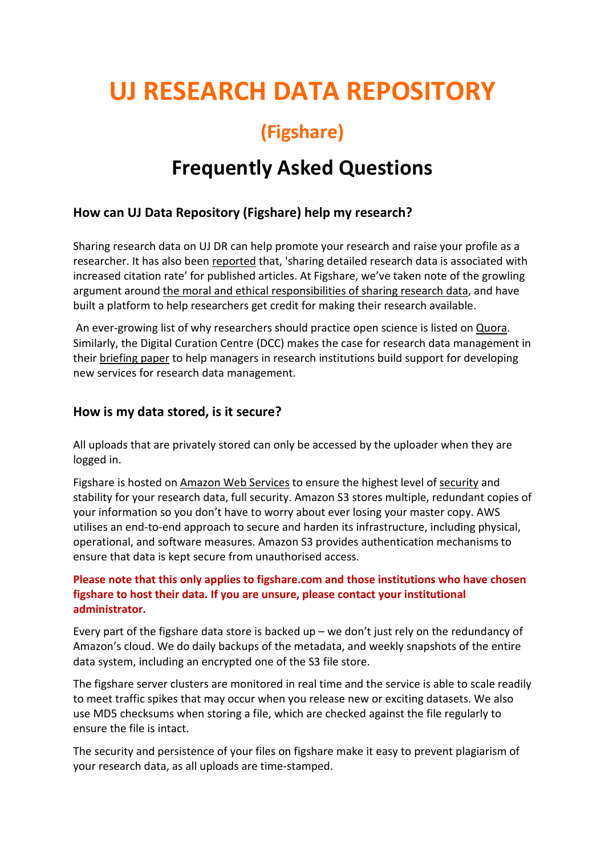# **UJ RESEARCH DATA REPOSITORY**

## **(Figshare)**

## **Frequently Asked Questions**

## **How can UJ Data Repository (Figshare) help my research?**

Sharing research data on UJ DR can help promote your research and raise your profile as a researcher. It has also been [reported](https://doi.org/10.1371/journal.pone.0000308) that, 'sharing detailed research data is associated with increased citation rate' for published articles. At Figshare, we've taken note of the growling argument around [the moral and ethical responsibilities of sharing research data,](https://scholarlykitchen.sspnet.org/2014/11/11/to-share-or-not-to-share-that-is-the-research-data-question/) and have built a platform to help researchers get credit for making their research available.

An ever-growing list of why researchers should practice open science is listed on [Quora.](https://www.quora.com/Why-should-scientists-practice-open-science?__snids__=25250086%2C24606181#ans707400-ans687170) Similarly, the Digital Curation Centre (DCC) makes the case for research data management in their [briefing paper](http://www.dcc.ac.uk/resources/briefing-papers/making-case-rdm) to help managers in research institutions build support for developing new services for research data management.

## **How is my data stored, is it secure?**

All uploads that are privately stored can only be accessed by the uploader when they are logged in.

Figshare is hosted on [Amazon Web Services](https://aws.amazon.com/what-is-aws/) to ensure the highest level of [security](https://aws.amazon.com/products/security/) and stability for your research data, full security. Amazon S3 stores multiple, redundant copies of your information so you don't have to worry about ever losing your master copy. AWS utilises an end-to-end approach to secure and harden its infrastructure, including physical, operational, and software measures. Amazon S3 provides authentication mechanisms to ensure that data is kept secure from unauthorised access.

### **Please note that this only applies to figshare.com and those institutions who have chosen figshare to host their data. If you are unsure, please contact your institutional administrator.**

Every part of the figshare data store is backed up – we don't just rely on the redundancy of Amazon's cloud. We do daily backups of the metadata, and weekly snapshots of the entire data system, including an encrypted one of the S3 file store.

The figshare server clusters are monitored in real time and the service is able to scale readily to meet traffic spikes that may occur when you release new or exciting datasets. We also use MD5 checksums when storing a file, which are checked against the file regularly to ensure the file is intact.

The security and persistence of your files on figshare make it easy to prevent plagiarism of your research data, as all uploads are time-stamped.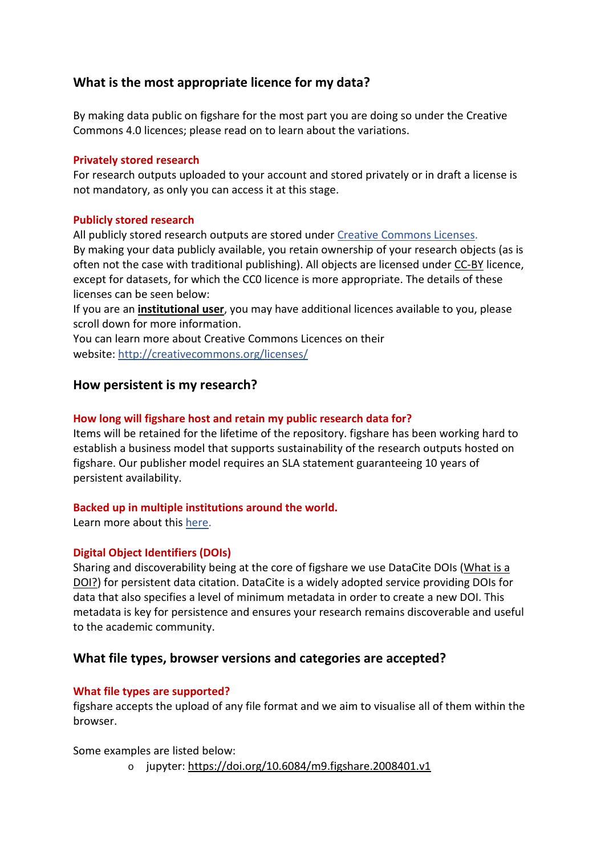## **What is the most appropriate licence for my data?**

By making data public on figshare for the most part you are doing so under the Creative Commons 4.0 licences; please read on to learn about the variations.

#### **Privately stored research**

For research outputs uploaded to your account and stored privately or in draft a license is not mandatory, as only you can access it at this stage.

#### **Publicly stored research**

All publicly stored research outputs are stored under [Creative Commons Licenses.](http://creativecommons.org/licenses/) By making your data publicly available, you retain ownership of your research objects (as is often not the case with traditional publishing). All objects are licensed under [CC-BY](http://creativecommons.org/licenses/by/4.0/) licence, except for datasets, for which the CC0 licence is more appropriate. The details of these licenses can be seen below:

If you are an **institutional user**, you may have additional licences available to you, please scroll down for more information.

You can learn more about Creative Commons Licences on their website: <http://creativecommons.org/licenses/>

## **How persistent is my research?**

#### **How long will figshare host and retain my public research data for?**

Items will be retained for the lifetime of the repository. figshare has been working hard to establish a business model that supports sustainability of the research outputs hosted on figshare. Our publisher model requires an SLA statement guaranteeing 10 years of persistent availability.

#### **Backed up in multiple institutions around the world.**

Learn more about this [here.](https://knowledge.figshare.com/articles/item/how-is-my-data-stored-is-it-secure)

#### **Digital Object Identifiers (DOIs)**

Sharing and discoverability being at the core of figshare we use DataCite DOIs (What is a [DOI?\)](https://knowledge.figshare.com/articles/item/how-can-figshare-help-my-research) for persistent data citation. DataCite is a widely adopted service providing DOIs for data that also specifies a level of minimum metadata in order to create a new DOI. This metadata is key for persistence and ensures your research remains discoverable and useful to the academic community.

## **What file types, browser versions and categories are accepted?**

#### **What file types are supported?**

figshare accepts the upload of any file format and we aim to visualise all of them within the browser.

Some examples are listed below:

o jupyter: <https://doi.org/10.6084/m9.figshare.2008401.v1>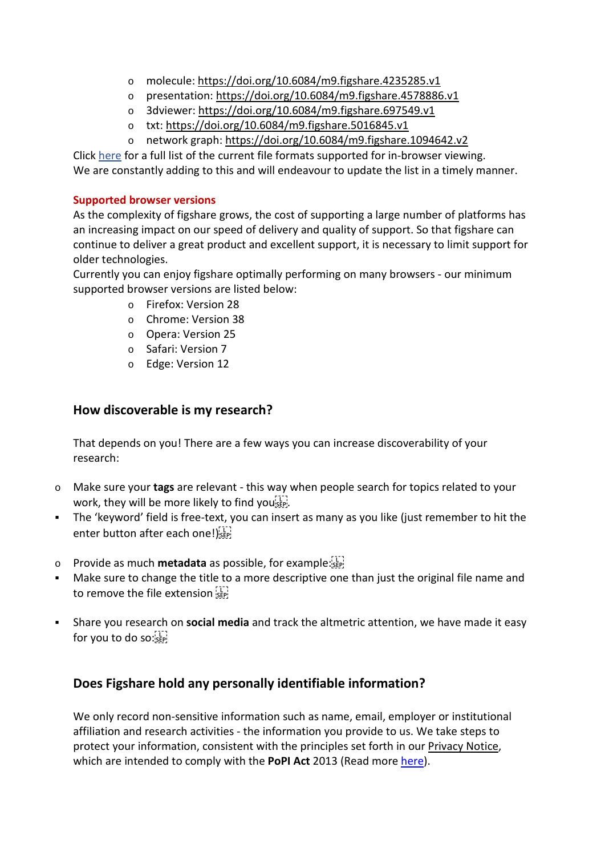- o molecule: <https://doi.org/10.6084/m9.figshare.4235285.v1>
- o presentation: <https://doi.org/10.6084/m9.figshare.4578886.v1>
- o 3dviewer: <https://doi.org/10.6084/m9.figshare.697549.v1>
- o txt: <https://doi.org/10.6084/m9.figshare.5016845.v1>
- o network graph: <https://doi.org/10.6084/m9.figshare.1094642.v2>

Click [here](https://drive.google.com/open?id=11N1D0e7b36SbeysmZeYc7-vP9qQyUIUx) for a full list of the current file formats supported for in-browser viewing. We are constantly adding to this and will endeavour to update the list in a timely manner.

#### **Supported browser versions**

As the complexity of figshare grows, the cost of supporting a large number of platforms has an increasing impact on our speed of delivery and quality of support. So that figshare can continue to deliver a great product and excellent support, it is necessary to limit support for older technologies.

Currently you can enjoy figshare optimally performing on many browsers - our minimum supported browser versions are listed below:

- o Firefox: Version 28
- o Chrome: Version 38
- o Opera: Version 25
- o Safari: Version 7
- o Edge: Version 12

## **How discoverable is my research?**

That depends on you! There are a few ways you can increase discoverability of your research:

- o Make sure your **tags** are relevant this way when people search for topics related to your work, they will be more likely to find you's EP.
- The 'keyword' field is free-text, you can insert as many as you like (just remember to hit the enter button after each one!)
- o Provide as much **metadata** as possible, for example:
- Make sure to change the title to a more descriptive one than just the original file name and to remove the file extension sep-
- Share you research on **social media** and track the altmetric attention, we have made it easy for you to do so: SEP!

## **Does Figshare hold any personally identifiable information?**

We only record non-sensitive information such as name, email, employer or institutional affiliation and research activities - the information you provide to us. We take steps to protect your information, consistent with the principles set forth in our [Privacy Notice,](http://figshare.com/privacy) which are intended to comply with the **PoPI Act** 2013 (Read mor[e here\)](https://www.justice.gov.za/inforeg/docs/InfoRegSA-POPIA-act2013-004.pdf).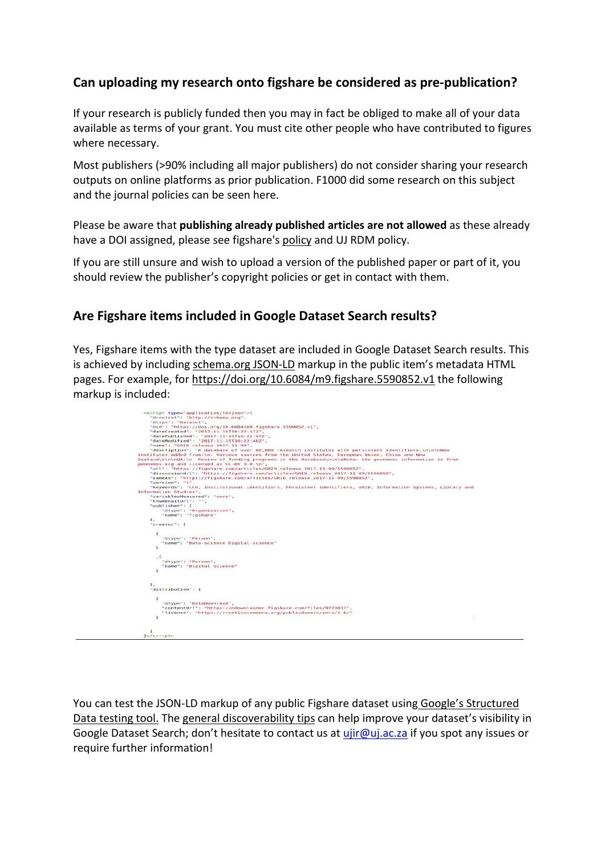## **Can uploading my research onto figshare be considered as pre-publication?**

If your research is publicly funded then you may in fact be obliged to make all of your data available as terms of your grant. You must cite other people who have contributed to figures where necessary.

Most publishers (>90% including all major publishers) do not consider sharing your research outputs on online platforms as prior publication. F1000 did some research on this subject and the journal policies can be seen [here.](http://f1000research.com/about/)

Please be aware that **publishing already published articles are not allowed** as these already have a DOI assigned, please see figshare's [policy](https://knowledge.figshare.com/articles/item/data-moderation-policy-and-take-down-notice) and UJ RDM policy.

If you are still unsure and wish to upload a version of the published paper or part of it, you should review the publisher's copyright policies or get in contact with them.

## **Are Figshare items included in Google Dataset Search results?**

Yes, Figshare items with the type dataset are included in Google Dataset Search results. This is achieved by including [schema.org](https://schema.org/) [JSON-LD](https://schema.org/) markup in the public item's metadata HTML pages. For example, for <https://doi.org/10.6084/m9.figshare.5590852.v1> the following markup is included:



You can test the JSON-LD markup of any public Figshare dataset using Google's Structured [Data testing tool.](https://search.google.com/structured-data/testing-tool) The [general discoverability tips](https://knowledge.figshare.com/articles/item/how-discoverable-is-my-research) can help improve your dataset's visibility in Google Dataset Search; don't hesitate to contact us a[t ujir@uj.ac.za](mailto:ujir@uj.ac.za) if you spot any issues or require further information!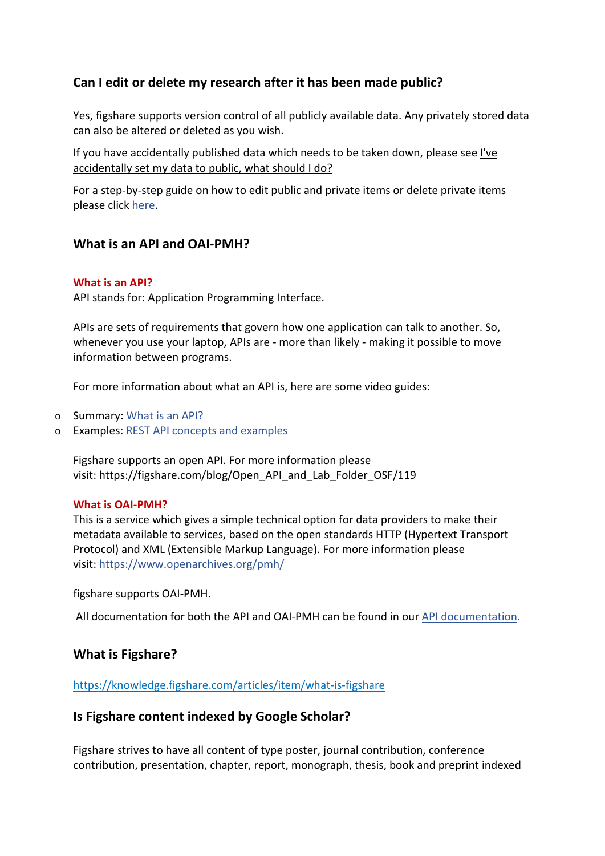## **Can I edit or delete my research after it has been made public?**

Yes, figshare supports version control of all publicly available data. Any privately stored data can also be altered or deleted as you wish.

If you have accidentally published data which needs to be taken down, please see [I've](https://knowledge.figshare.com/articles/item/i-ve-accidentally-set-my-data-to-public-what-should-i-do)  accidentally [set my data to public, what should I do?](https://knowledge.figshare.com/articles/item/i-ve-accidentally-set-my-data-to-public-what-should-i-do)

For a step-by-step guide on how to edit public and private items or delete private items please click [here.](https://knowledge.figshare.com/articles/item/how-to-edit-or-delete-my-data)

## **What is an API and OAI-PMH?**

#### **What is an API?**

API stands for: Application Programming Interface.

APIs are sets of requirements that govern how one application can talk to another. So, whenever you use your laptop, APIs are - more than likely - making it possible to move information between programs.

For more information about what an API is, here are some video guides:

- o Summary: [What is an API?](https://www.youtube.com/watch?v=s7wmiS2mSXY)
- o Examples: [REST API concepts and examples](https://www.youtube.com/watch?v=7YcW25PHnAA)

Figshare supports an open API. For more information please visit: [https://figshare.com/blog/Open\\_API\\_and\\_Lab\\_Folder\\_OSF/119](https://figshare.com/blog/Open_API_and_Lab_Folder_OSF/119)

#### **What is OAI-PMH?**

This is a service which gives a simple technical option for data providers to make their metadata available to services, based on the open standards HTTP (Hypertext Transport Protocol) and XML (Extensible Markup Language). For more information please visit: <https://www.openarchives.org/pmh/>

figshare supports OAI-PMH.

All documentation for both the API and OAI-PMH can be found in our [API documentation](https://docs.figshare.com/)[.](http://docs.figshare.com/)

## **What is Figshare?**

<https://knowledge.figshare.com/articles/item/what-is-figshare>

## **Is Figshare content indexed by Google Scholar?**

Figshare strives to have all content of type poster, journal contribution, conference contribution, presentation, chapter, report, monograph, thesis, book and preprint indexed